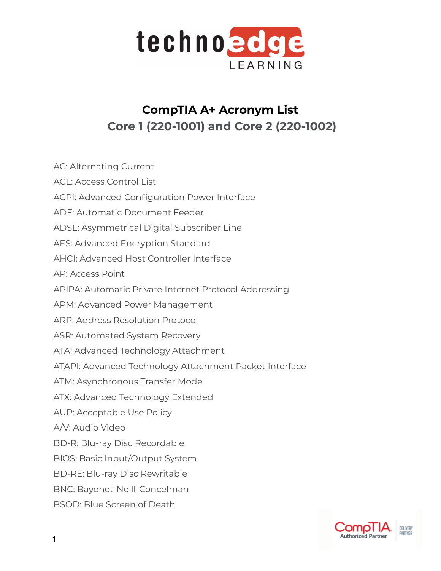

## **CompTIA A+ Acronym List Core 1 (220-1001) and Core 2 (220-1002)**

AC: Alternating Current ACL: Access Control List ACPI: Advanced Configuration Power Interface ADF: Automatic Document Feeder ADSL: Asymmetrical Digital Subscriber Line AES: Advanced Encryption Standard AHCI: Advanced Host Controller Interface AP: Access Point APIPA: Automatic Private Internet Protocol Addressing APM: Advanced Power Management ARP: Address Resolution Protocol ASR: Automated System Recovery ATA: Advanced Technology Attachment ATAPI: Advanced Technology Attachment Packet Interface ATM: Asynchronous Transfer Mode ATX: Advanced Technology Extended AUP: Acceptable Use Policy A/V: Audio Video BD-R: Blu-ray Disc Recordable BIOS: Basic Input/Output System BD-RE: Blu-ray Disc Rewritable BNC: Bayonet-Neill-Concelman BSOD: Blue Screen of Death

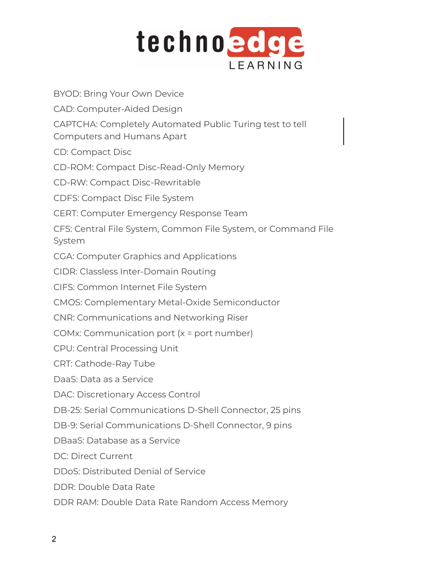

BYOD: Bring Your Own Device CAD: Computer-Aided Design CAPTCHA: Completely Automated Public Turing test to tell Computers and Humans Apart CD: Compact Disc CD-ROM: Compact Disc-Read-Only Memory CD-RW: Compact Disc-Rewritable CDFS: Compact Disc File System CERT: Computer Emergency Response Team CFS: Central File System, Common File System, or Command File System CGA: Computer Graphics and Applications CIDR: Classless Inter-Domain Routing CIFS: Common Internet File System CMOS: Complementary Metal-Oxide Semiconductor CNR: Communications and Networking Riser COMx: Communication port (x = port number) CPU: Central Processing Unit CRT: Cathode-Ray Tube DaaS: Data as a Service DAC: Discretionary Access Control DB-25: Serial Communications D-Shell Connector, 25 pins DB-9: Serial Communications D-Shell Connector, 9 pins DBaaS: Database as a Service DC: Direct Current DDoS: Distributed Denial of Service DDR: Double Data Rate

DDR RAM: Double Data Rate Random Access Memory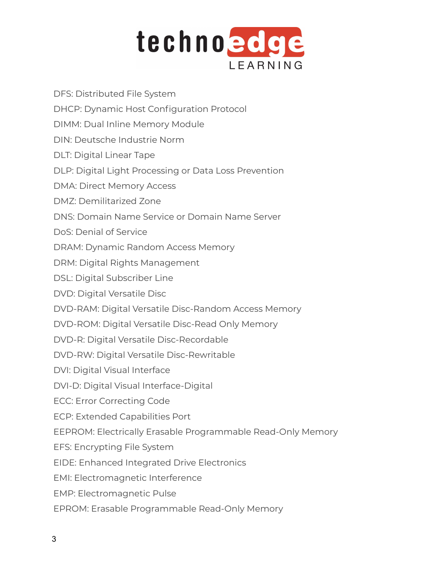

DFS: Distributed File System

- DHCP: Dynamic Host Configuration Protocol
- DIMM: Dual Inline Memory Module
- DIN: Deutsche Industrie Norm
- DLT: Digital Linear Tape
- DLP: Digital Light Processing or Data Loss Prevention
- DMA: Direct Memory Access
- DMZ: Demilitarized Zone
- DNS: Domain Name Service or Domain Name Server
- DoS: Denial of Service
- DRAM: Dynamic Random Access Memory
- DRM: Digital Rights Management
- DSL: Digital Subscriber Line
- DVD: Digital Versatile Disc
- DVD-RAM: Digital Versatile Disc-Random Access Memory
- DVD-ROM: Digital Versatile Disc-Read Only Memory
- DVD-R: Digital Versatile Disc-Recordable
- DVD-RW: Digital Versatile Disc-Rewritable
- DVI: Digital Visual Interface
- DVI-D: Digital Visual Interface-Digital
- ECC: Error Correcting Code
- ECP: Extended Capabilities Port
- EEPROM: Electrically Erasable Programmable Read-Only Memory
- EFS: Encrypting File System
- EIDE: Enhanced Integrated Drive Electronics
- EMI: Electromagnetic Interference
- EMP: Electromagnetic Pulse
- EPROM: Erasable Programmable Read-Only Memory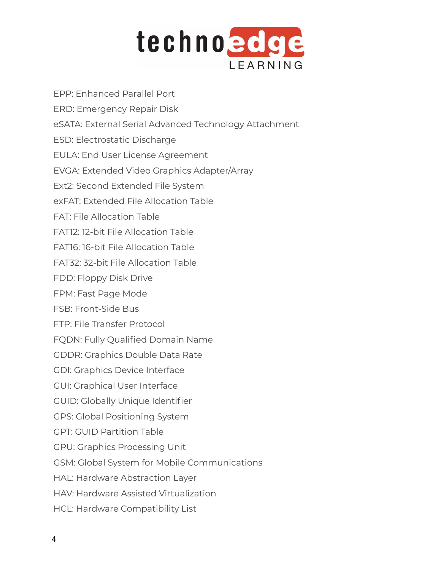

| EPP: Enhanced Parallel Port                           |
|-------------------------------------------------------|
| ERD: Emergency Repair Disk                            |
| eSATA: External Serial Advanced Technology Attachment |
| ESD: Electrostatic Discharge                          |
| EULA: End User License Agreement                      |
| EVGA: Extended Video Graphics Adapter/Array           |
| Ext2: Second Extended File System                     |
| exFAT: Extended File Allocation Table                 |
| <b>FAT: File Allocation Table</b>                     |
| FAT12: 12-bit File Allocation Table                   |
| FAT16: 16-bit File Allocation Table                   |
| FAT32: 32-bit File Allocation Table                   |
| FDD: Floppy Disk Drive                                |
| FPM: Fast Page Mode                                   |
| FSB: Front-Side Bus                                   |
| FTP: File Transfer Protocol                           |
| FQDN: Fully Qualified Domain Name                     |
| <b>GDDR: Graphics Double Data Rate</b>                |
| <b>GDI: Graphics Device Interface</b>                 |
| <b>GUI: Graphical User Interface</b>                  |
| <b>GUID: Globally Unique Identifier</b>               |
| <b>GPS: Global Positioning System</b>                 |
| <b>GPT: GUID Partition Table</b>                      |
| <b>GPU: Graphics Processing Unit</b>                  |
| GSM: Global System for Mobile Communications          |
| HAL: Hardware Abstraction Layer                       |
| HAV: Hardware Assisted Virtualization                 |
|                                                       |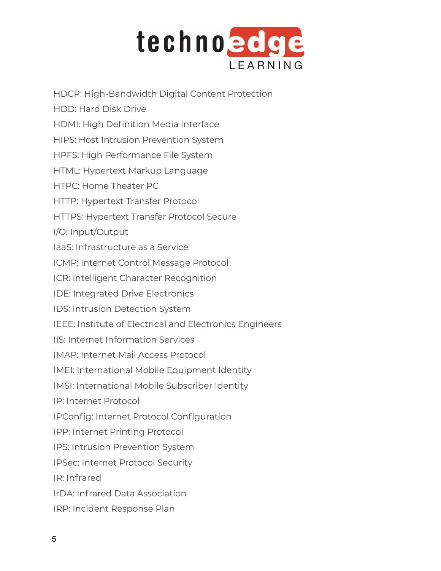

HDCP: High-Bandwidth Digital Content Protection HDD: Hard Disk Drive HDMI: High Definition Media Interface HIPS: Host Intrusion Prevention System HPFS: High Performance File System HTML: Hypertext Markup Language HTPC: Home Theater PC HTTP: Hypertext Transfer Protocol HTTPS: Hypertext Transfer Protocol Secure I/O: Input/Output IaaS: Infrastructure as a Service ICMP: Internet Control Message Protocol ICR: Intelligent Character Recognition IDE: Integrated Drive Electronics IDS: Intrusion Detection System IEEE: Institute of Electrical and Electronics Engineers IIS: Internet Information Services IMAP: Internet Mail Access Protocol IMEI: International Mobile Equipment Identity IMSI: International Mobile Subscriber Identity IP: Internet Protocol IPConfig: Internet Protocol Configuration IPP: Internet Printing Protocol IPS: Intrusion Prevention System IPSec: Internet Protocol Security IR: Infrared IrDA: Infrared Data Association IRP: Incident Response Plan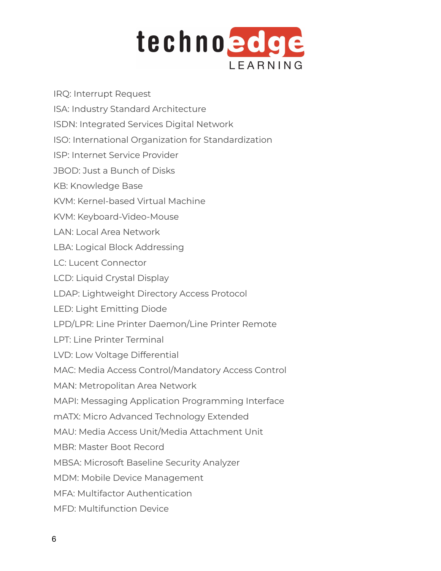

IRQ: Interrupt Request ISA: Industry Standard Architecture ISDN: Integrated Services Digital Network ISO: International Organization for Standardization ISP: Internet Service Provider JBOD: Just a Bunch of Disks KB: Knowledge Base KVM: Kernel-based Virtual Machine KVM: Keyboard-Video-Mouse LAN: Local Area Network LBA: Logical Block Addressing LC: Lucent Connector LCD: Liquid Crystal Display LDAP: Lightweight Directory Access Protocol LED: Light Emitting Diode LPD/LPR: Line Printer Daemon/Line Printer Remote LPT: Line Printer Terminal LVD: Low Voltage Differential MAC: Media Access Control/Mandatory Access Control MAN: Metropolitan Area Network MAPI: Messaging Application Programming Interface mATX: Micro Advanced Technology Extended MAU: Media Access Unit/Media Attachment Unit MBR: Master Boot Record MBSA: Microsoft Baseline Security Analyzer MDM: Mobile Device Management MFA: Multifactor Authentication MFD: Multifunction Device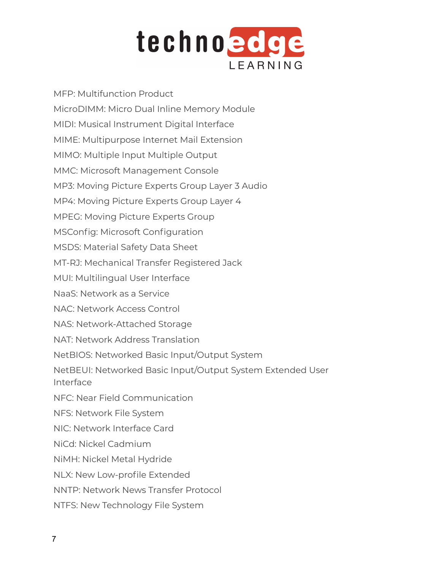

MFP: Multifunction Product MicroDIMM: Micro Dual Inline Memory Module MIDI: Musical Instrument Digital Interface MIME: Multipurpose Internet Mail Extension MIMO: Multiple Input Multiple Output MMC: Microsoft Management Console MP3: Moving Picture Experts Group Layer 3 Audio MP4: Moving Picture Experts Group Layer 4 MPEG: Moving Picture Experts Group MSConfig: Microsoft Configuration MSDS: Material Safety Data Sheet MT-RJ: Mechanical Transfer Registered Jack MUI: Multilingual User Interface NaaS: Network as a Service NAC: Network Access Control NAS: Network-Attached Storage NAT: Network Address Translation NetBIOS: Networked Basic Input/Output System NetBEUI: Networked Basic Input/Output System Extended User Interface NFC: Near Field Communication NFS: Network File System NIC: Network Interface Card NiCd: Nickel Cadmium NiMH: Nickel Metal Hydride NLX: New Low-profile Extended NNTP: Network News Transfer Protocol NTFS: New Technology File System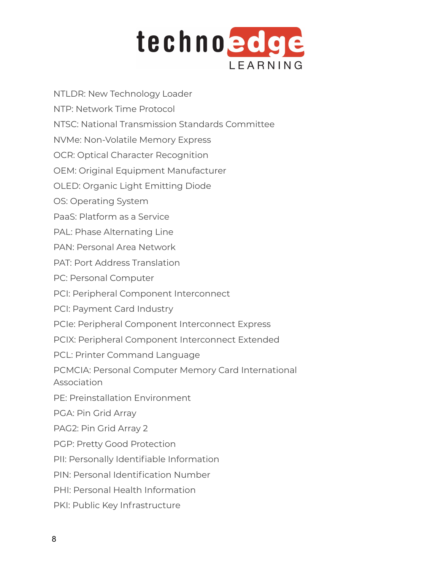

NTLDR: New Technology Loader

- NTP: Network Time Protocol
- NTSC: National Transmission Standards Committee

NVMe: Non-Volatile Memory Express

OCR: Optical Character Recognition

OEM: Original Equipment Manufacturer

OLED: Organic Light Emitting Diode

OS: Operating System

PaaS: Platform as a Service

PAL: Phase Alternating Line

PAN: Personal Area Network

PAT: Port Address Translation

PC: Personal Computer

PCI: Peripheral Component Interconnect

PCI: Payment Card Industry

PCIe: Peripheral Component Interconnect Express

PCIX: Peripheral Component Interconnect Extended

PCL: Printer Command Language

PCMCIA: Personal Computer Memory Card International Association

PE: Preinstallation Environment

PGA: Pin Grid Array

PAG2: Pin Grid Array 2

PGP: Pretty Good Protection

PII: Personally Identifiable Information

PIN: Personal Identification Number

PHI: Personal Health Information

PKI: Public Key Infrastructure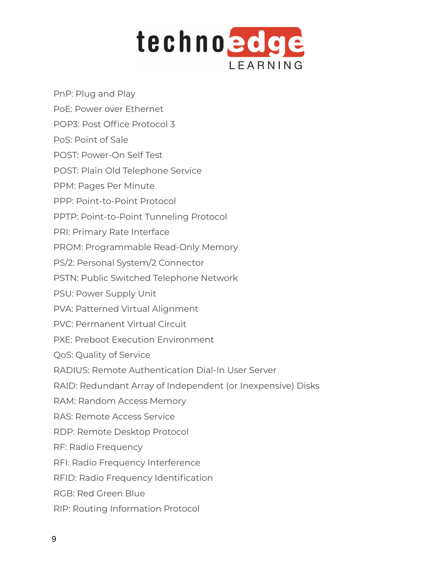

- PnP: Plug and Play
- PoE: Power over Ethernet
- POP3: Post Office Protocol 3
- PoS: Point of Sale
- POST: Power-On Self Test
- POST: Plain Old Telephone Service
- PPM: Pages Per Minute
- PPP: Point-to-Point Protocol
- PPTP: Point-to-Point Tunneling Protocol
- PRI: Primary Rate Interface
- PROM: Programmable Read-Only Memory
- PS/2: Personal System/2 Connector
- PSTN: Public Switched Telephone Network
- PSU: Power Supply Unit
- PVA: Patterned Virtual Alignment
- PVC: Permanent Virtual Circuit
- PXE: Preboot Execution Environment
- QoS: Quality of Service
- RADIUS: Remote Authentication Dial-In User Server
- RAID: Redundant Array of Independent (or Inexpensive) Disks
- RAM: Random Access Memory
- RAS: Remote Access Service
- RDP: Remote Desktop Protocol
- RF: Radio Frequency
- RFI: Radio Frequency Interference
- RFID: Radio Frequency Identification
- RGB: Red Green Blue
- RIP: Routing Information Protocol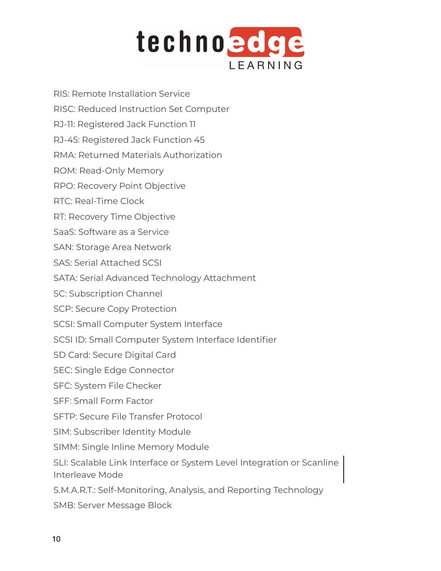

- RIS: Remote Installation Service
- RISC: Reduced Instruction Set Computer
- RJ-11: Registered Jack Function 11
- RJ-45: Registered Jack Function 45
- RMA: Returned Materials Authorization
- ROM: Read-Only Memory
- RPO: Recovery Point Objective
- RTC: Real-Time Clock
- RT: Recovery Time Objective
- SaaS: Software as a Service
- SAN: Storage Area Network
- SAS: Serial Attached SCSI
- SATA: Serial Advanced Technology Attachment
- SC: Subscription Channel
- SCP: Secure Copy Protection
- SCSI: Small Computer System Interface
- SCSI ID: Small Computer System Interface Identifier
- SD Card: Secure Digital Card
- SEC: Single Edge Connector
- SFC: System File Checker
- SFF: Small Form Factor
- SFTP: Secure File Transfer Protocol
- SIM: Subscriber Identity Module
- SIMM: Single Inline Memory Module
- SLI: Scalable Link Interface or System Level Integration or Scanline Interleave Mode
- S.M.A.R.T.: Self-Monitoring, Analysis, and Reporting Technology
- SMB: Server Message Block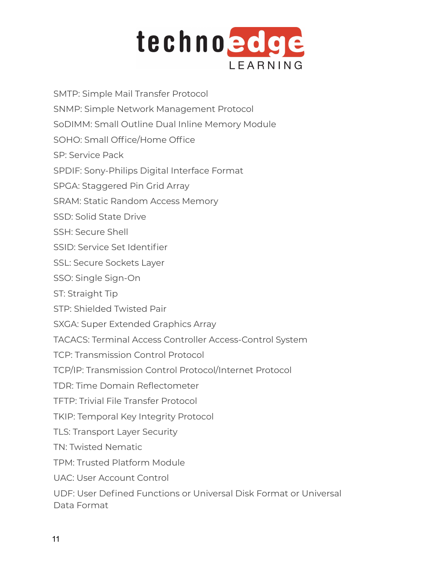

SNMP: Simple Network Management Protocol SoDIMM: Small Outline Dual Inline Memory Module SOHO: Small Office/Home Office SP: Service Pack SPDIF: Sony-Philips Digital Interface Format SPGA: Staggered Pin Grid Array SRAM: Static Random Access Memory SSD: Solid State Drive

SMTP: Simple Mail Transfer Protocol

- SSH: Secure Shell
- SSID: Service Set Identifier
- SSL: Secure Sockets Layer
- SSO: Single Sign-On
- ST: Straight Tip
- STP: Shielded Twisted Pair
- SXGA: Super Extended Graphics Array
- TACACS: Terminal Access Controller Access-Control System
- TCP: Transmission Control Protocol
- TCP/IP: Transmission Control Protocol/Internet Protocol
- TDR: Time Domain Reflectometer
- TFTP: Trivial File Transfer Protocol
- TKIP: Temporal Key Integrity Protocol
- TLS: Transport Layer Security
- TN: Twisted Nematic
- TPM: Trusted Platform Module
- UAC: User Account Control
- UDF: User Defined Functions or Universal Disk Format or Universal Data Format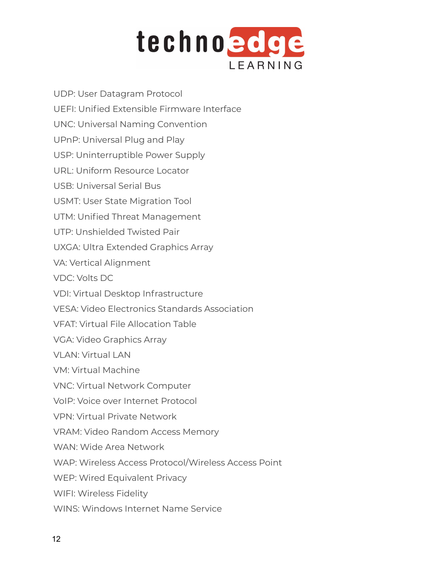

UDP: User Datagram Protocol UEFI: Unified Extensible Firmware Interface UNC: Universal Naming Convention UPnP: Universal Plug and Play USP: Uninterruptible Power Supply URL: Uniform Resource Locator USB: Universal Serial Bus USMT: User State Migration Tool UTM: Unified Threat Management UTP: Unshielded Twisted Pair UXGA: Ultra Extended Graphics Array VA: Vertical Alignment VDC: Volts DC VDI: Virtual Desktop Infrastructure VESA: Video Electronics Standards Association VFAT: Virtual File Allocation Table VGA: Video Graphics Array VLAN: Virtual LAN VM: Virtual Machine VNC: Virtual Network Computer VoIP: Voice over Internet Protocol VPN: Virtual Private Network VRAM: Video Random Access Memory WAN: Wide Area Network WAP: Wireless Access Protocol/Wireless Access Point WEP: Wired Equivalent Privacy WIFI: Wireless Fidelity WINS: Windows Internet Name Service